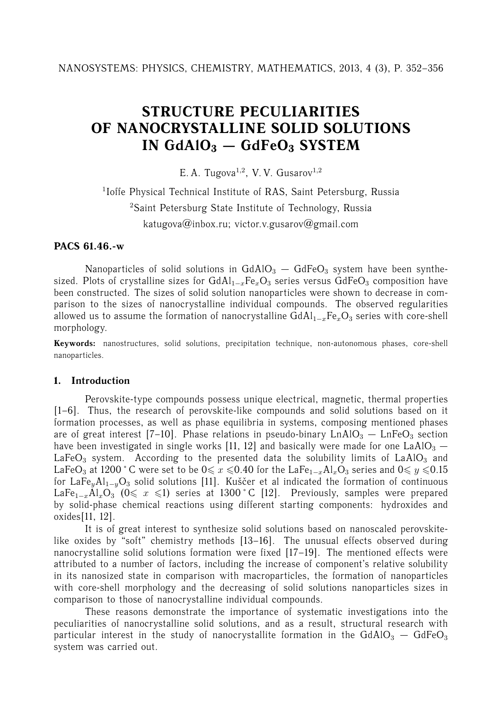# **STRUCTURE PECULIARITIES OF NANOCRYSTALLINE SOLID SOLUTIONS IN GdAlO<sup>3</sup> — GdFeO<sup>3</sup> SYSTEM**

E. A. Tugova<sup>1,2</sup>, V. V. Gusarov<sup>1,2</sup>

<sup>1</sup>Ioffe Physical Technical Institute of RAS, Saint Petersburg, Russia <sup>2</sup>Saint Petersburg State Institute of Technology, Russia katugova@inbox.ru; victor.v.gusarov@gmail.com

# **PACS 61.46.-w**

Nanoparticles of solid solutions in  $GdAIO<sub>3</sub> - GdFeO<sub>3</sub>$  system have been synthesized. Plots of crystalline sizes for  $GdA1_{1-x}Fe_xO_3$  series versus  $GdFeO_3$  composition have been constructed. The sizes of solid solution nanoparticles were shown to decrease in comparison to the sizes of nanocrystalline individual compounds. The observed regularities allowed us to assume the formation of nanocrystalline  $GdAl_{1-x}Fe_xO_3$  series with core-shell morphology.

**Keywords:** nanostructures, solid solutions, precipitation technique, non-autonomous phases, core-shell nanoparticles.

# **1. Introduction**

Perovskite-type compounds possess unique electrical, magnetic, thermal properties [1–6]. Thus, the research of perovskite-like compounds and solid solutions based on it formation processes, as well as phase equilibria in systems, composing mentioned phases are of great interest [7–10]. Phase relations in pseudo-binary  $LnAlO<sub>3</sub> - LnFeO<sub>3</sub>$  section have been investigated in single works [11, 12] and basically were made for one LaAlO<sub>3</sub>  $-$ LaFe $O_3$  system. According to the presented data the solubility limits of LaAl $O_3$  and LaFeO<sub>3</sub> at 1200 °C were set to be  $0 \le x \le 0.40$  for the LaFe<sub>1-x</sub>Al<sub>x</sub>O<sub>3</sub> series and  $0 \le y \le 0.15$ for LaFe<sub>y</sub>Al<sub>1−y</sub>O<sub>3</sub> solid solutions [11]. Kuščer et al indicated the formation of continuous LaFe<sub>1-x</sub>Al<sub>x</sub>O<sub>3</sub> (0 ≤ x ≤1) series at 1300 °C [12]. Previously, samples were prepared by solid-phase chemical reactions using different starting components: hydroxides and oxides[11, 12].

It is of great interest to synthesize solid solutions based on nanoscaled perovskitelike oxides by "soft" chemistry methods [13–16]. The unusual effects observed during nanocrystalline solid solutions formation were fixed [17–19]. The mentioned effects were attributed to a number of factors, including the increase of component's relative solubility in its nanosized state in comparison with macroparticles, the formation of nanoparticles with core-shell morphology and the decreasing of solid solutions nanoparticles sizes in comparison to those of nanocrystalline individual compounds.

These reasons demonstrate the importance of systematic investigations into the peculiarities of nanocrystalline solid solutions, and as a result, structural research with particular interest in the study of nanocrystallite formation in the  $GdAIO<sub>3</sub> - GdFeO<sub>3</sub>$ system was carried out.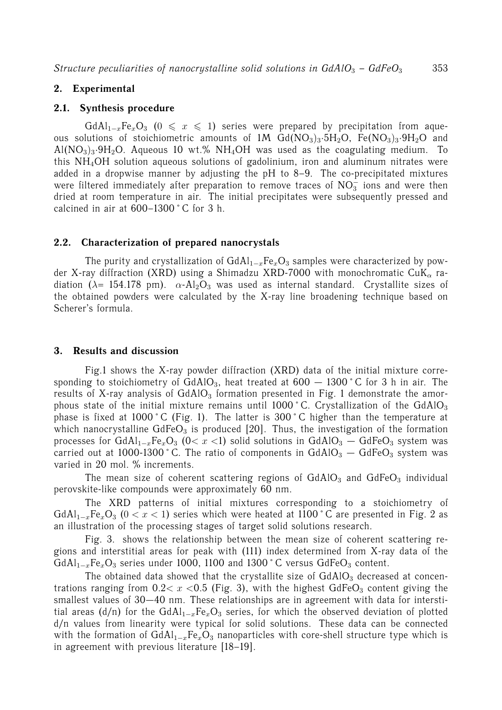# **2. Experimental**

#### **2.1. Synthesis procedure**

 $GdA1_{1-x}Fe_xO_3$  (0  $\leq x \leq 1$ ) series were prepared by precipitation from aqueous solutions of stoichiometric amounts of 1M  $Gd(NO<sub>3</sub>)<sub>3</sub>·5H<sub>2</sub>O$ , Fe $(NO<sub>3</sub>)<sub>3</sub>·9H<sub>2</sub>O$  and  $A/(NO<sub>3</sub>)<sub>3</sub>·9H<sub>2</sub>O$ . Aqueous 10 wt.% NH<sub>4</sub>OH was used as the coagulating medium. To this NH4OH solution aqueous solutions of gadolinium, iron and aluminum nitrates were added in a dropwise manner by adjusting the pH to 8–9. The co-precipitated mixtures were filtered immediately after preparation to remove traces of  $NO<sub>3</sub><sup>-</sup>$  ions and were then dried at room temperature in air. The initial precipitates were subsequently pressed and calcined in air at 600–1300 ˚ C for 3 h.

#### **2.2. Characterization of prepared nanocrystals**

The purity and crystallization of  $GdAl_{1-x}Fe_xO_3$  samples were characterized by powder X-ray diffraction (XRD) using a Shimadzu XRD-7000 with monochromatic CuK $_{\alpha}$  radiation ( $\lambda$ = 154.178 pm).  $\alpha$ -Al<sub>2</sub>O<sub>3</sub> was used as internal standard. Crystallite sizes of the obtained powders were calculated by the X-ray line broadening technique based on Scherer's formula.

#### **3. Results and discussion**

Fig.1 shows the X-ray powder diffraction (XRD) data of the initial mixture corresponding to stoichiometry of  $GdAIO<sub>3</sub>$ , heat treated at  $600 - 1300$  °C for 3 h in air. The results of X-ray analysis of  $GdAIO<sub>3</sub>$  formation presented in Fig. 1 demonstrate the amorphous state of the initial mixture remains until  $1000\degree$ C. Crystallization of the GdAlO<sub>3</sub> phase is fixed at 1000 °C (Fig. 1). The latter is 300 °C higher than the temperature at which nanocrystalline  $GdFeO<sub>3</sub>$  is produced [20]. Thus, the investigation of the formation processes for  $GdA1_{1-x}Fe_xO_3$  (0< x <1) solid solutions in  $GdA1O_3 - GdFeO_3$  system was carried out at 1000-1300 °C. The ratio of components in  $GdAIO_3 - GdFeO_3$  system was varied in 20 mol. % increments.

The mean size of coherent scattering regions of  $GdAIO<sub>3</sub>$  and  $GdFeO<sub>3</sub>$  individual perovskite-like compounds were approximately 60 nm.

The XRD patterns of initial mixtures corresponding to a stoichiometry of  $GdA1_{1-x}Fe_xO_3$  (0 < x < 1) series which were heated at 1100 °C are presented in Fig. 2 as an illustration of the processing stages of target solid solutions research.

Fig. 3. shows the relationship between the mean size of coherent scattering regions and interstitial areas for peak with (111) index determined from X-ray data of the GdAl<sub>1−x</sub>Fe<sub>x</sub>O<sub>3</sub> series under 1000, 1100 and 1300 °C versus GdFeO<sub>3</sub> content.

The obtained data showed that the crystallite size of  $GdAIO<sub>3</sub>$  decreased at concentrations ranging from  $0.2 < x < 0.5$  (Fig. 3), with the highest GdFeO<sub>3</sub> content giving the smallest values of 30—40 nm. These relationships are in agreement with data for interstitial areas (d/n) for the GdAl<sub>1−x</sub>Fe<sub>x</sub>O<sub>3</sub> series, for which the observed deviation of plotted d/n values from linearity were typical for solid solutions. These data can be connected with the formation of  $GdAl_{1-x}Fe_xO_3$  nanoparticles with core-shell structure type which is in agreement with previous literature [18–19].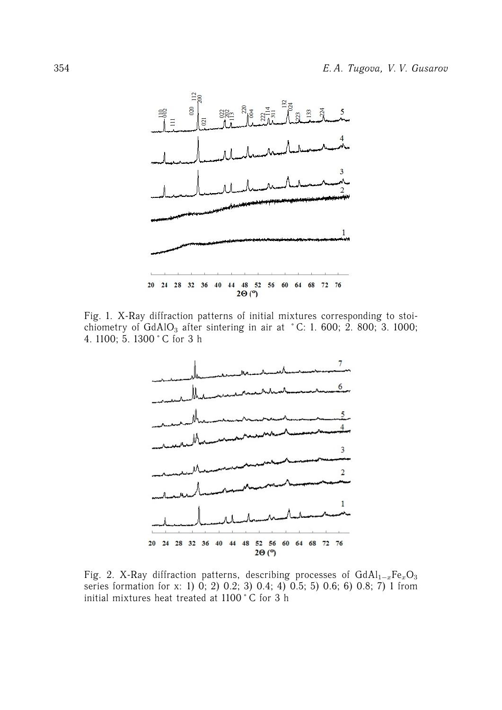

Fig. 1. X-Ray diffraction patterns of initial mixtures corresponding to stoichiometry of GdAlO<sub>3</sub> after sintering in air at °C: 1. 600; 2. 800; 3. 1000; 4. 1100; 5. 1300 ˚ C for 3 h



Fig. 2. X-Ray diffraction patterns, describing processes of  $GdAl_{1-x}Fe_xO_3$ series formation for x: 1) 0; 2) 0.2; 3) 0.4; 4) 0.5; 5) 0.6; 6) 0.8; 7) 1 from initial mixtures heat treated at 1100 ˚ C for 3 h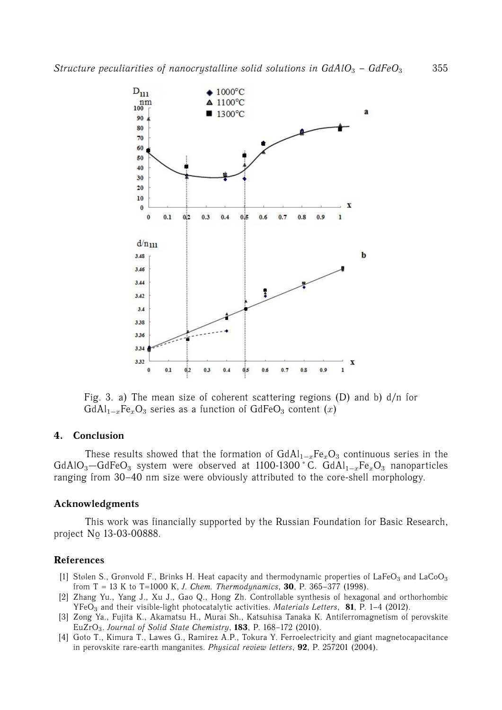

Fig. 3. a) The mean size of coherent scattering regions (D) and b) d/n for  $GdAl_{1-x}Fe_xO_3$  series as a function of  $GdFeO_3$  content (x)

# **4. Conclusion**

These results showed that the formation of  $GdAl_{1-x}Fe_xO_3$  continuous series in the GdAlO<sub>3</sub>—GdFeO<sub>3</sub> system were observed at 1100-1300 °C. GdAl<sub>1−x</sub>Fe<sub>x</sub>O<sub>3</sub> nanoparticles ranging from 30–40 nm size were obviously attributed to the core-shell morphology.

# **Acknowledgments**

This work was financially supported by the Russian Foundation for Basic Research, project No ¯ 13-03-00888.

# **References**

- [1] Stølen S., Grønvold F., Brinks H. Heat capacity and thermodynamic properties of LaFeO<sub>3</sub> and LaCoO<sub>3</sub> from T = 13 K to T=1000 K, *J. Chem. Thermodynamics*, **30**, P. 365–377 (1998).
- [2] Zhang Yu., Yang J., Xu J., Gao Q., Hong Zh. Controllable synthesis of hexagonal and orthorhombic YFeO<sup>3</sup> and their visible-light photocatalytic activities. *Materials Letters*, **81**, P. 1–4 (2012).
- [3] Zong Ya., Fujita K., Akamatsu H., Murai Sh., Katsuhisa Tanaka K. Antiferromagnetism of perovskite EuZrO3. *Journal of Solid State Chemistry*, **183**, P. 168–172 (2010).
- [4] Goto T., Kimura T., Lawes G., Ramirez A.P., Tokura Y. Ferroelectricity and giant magnetocapacitance in perovskite rare-earth manganites. *Physical review letters*, **92**, P. 257201 (2004).